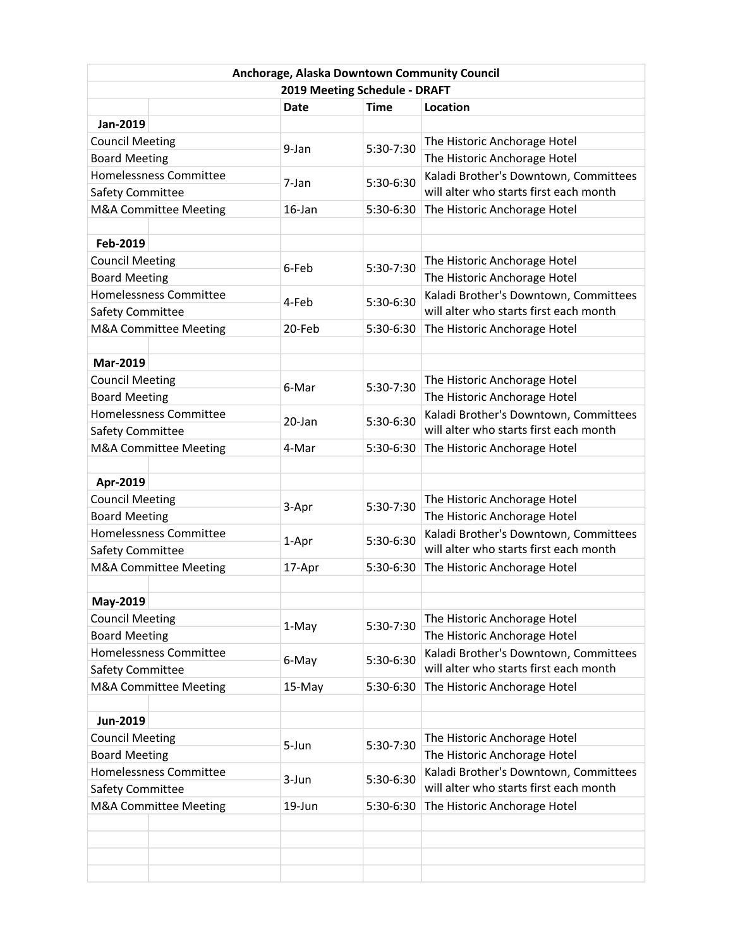| Anchorage, Alaska Downtown Community Council |                        |             |             |                                        |  |  |  |
|----------------------------------------------|------------------------|-------------|-------------|----------------------------------------|--|--|--|
| 2019 Meeting Schedule - DRAFT                |                        |             |             |                                        |  |  |  |
|                                              |                        | <b>Date</b> | <b>Time</b> | Location                               |  |  |  |
| Jan-2019                                     |                        |             |             |                                        |  |  |  |
| <b>Council Meeting</b>                       |                        | 9-Jan       | 5:30-7:30   | The Historic Anchorage Hotel           |  |  |  |
| <b>Board Meeting</b>                         |                        |             |             | The Historic Anchorage Hotel           |  |  |  |
| <b>Homelessness Committee</b>                |                        |             |             | Kaladi Brother's Downtown, Committees  |  |  |  |
| Safety Committee                             |                        | 7-Jan       | 5:30-6:30   | will alter who starts first each month |  |  |  |
| M&A Committee Meeting                        |                        | 16-Jan      | 5:30-6:30   | The Historic Anchorage Hotel           |  |  |  |
|                                              |                        |             |             |                                        |  |  |  |
| Feb-2019                                     |                        |             |             |                                        |  |  |  |
| <b>Council Meeting</b>                       |                        |             |             | The Historic Anchorage Hotel           |  |  |  |
| <b>Board Meeting</b>                         |                        | 6-Feb       | 5:30-7:30   | The Historic Anchorage Hotel           |  |  |  |
| Homelessness Committee                       |                        |             |             | Kaladi Brother's Downtown, Committees  |  |  |  |
| Safety Committee                             |                        | 4-Feb       | 5:30-6:30   | will alter who starts first each month |  |  |  |
|                                              | M&A Committee Meeting  | 20-Feb      | 5:30-6:30   | The Historic Anchorage Hotel           |  |  |  |
|                                              |                        |             |             |                                        |  |  |  |
| Mar-2019                                     |                        |             |             |                                        |  |  |  |
| <b>Council Meeting</b>                       |                        |             |             | The Historic Anchorage Hotel           |  |  |  |
| <b>Board Meeting</b>                         |                        | 6-Mar       | 5:30-7:30   | The Historic Anchorage Hotel           |  |  |  |
|                                              | Homelessness Committee |             |             | Kaladi Brother's Downtown, Committees  |  |  |  |
| Safety Committee                             |                        | 20-Jan      | 5:30-6:30   | will alter who starts first each month |  |  |  |
|                                              | M&A Committee Meeting  | 4-Mar       | 5:30-6:30   | The Historic Anchorage Hotel           |  |  |  |
|                                              |                        |             |             |                                        |  |  |  |
| Apr-2019                                     |                        |             |             |                                        |  |  |  |
| <b>Council Meeting</b>                       |                        |             |             | The Historic Anchorage Hotel           |  |  |  |
| <b>Board Meeting</b>                         |                        | 3-Apr       | 5:30-7:30   | The Historic Anchorage Hotel           |  |  |  |
| <b>Homelessness Committee</b>                |                        |             | 5:30-6:30   | Kaladi Brother's Downtown, Committees  |  |  |  |
| Safety Committee                             |                        | 1-Apr       |             | will alter who starts first each month |  |  |  |
| M&A Committee Meeting                        |                        | 17-Apr      | 5:30-6:30   | The Historic Anchorage Hotel           |  |  |  |
|                                              |                        |             |             |                                        |  |  |  |
| May-2019                                     |                        |             |             |                                        |  |  |  |
| <b>Council Meeting</b>                       |                        |             |             | The Historic Anchorage Hotel           |  |  |  |
| <b>Board Meeting</b>                         |                        | 1-May       | 5:30-7:30   | The Historic Anchorage Hotel           |  |  |  |
| Homelessness Committee                       |                        |             |             | Kaladi Brother's Downtown, Committees  |  |  |  |
| Safety Committee                             |                        | 6-May       | 5:30-6:30   | will alter who starts first each month |  |  |  |
| M&A Committee Meeting                        |                        | 15-May      | 5:30-6:30   | The Historic Anchorage Hotel           |  |  |  |
|                                              |                        |             |             |                                        |  |  |  |
| Jun-2019                                     |                        |             |             |                                        |  |  |  |
| <b>Council Meeting</b>                       |                        |             |             | The Historic Anchorage Hotel           |  |  |  |
| <b>Board Meeting</b>                         |                        | 5-Jun       | 5:30-7:30   | The Historic Anchorage Hotel           |  |  |  |
| Homelessness Committee                       |                        |             |             | Kaladi Brother's Downtown, Committees  |  |  |  |
| Safety Committee                             |                        | 3-Jun       | 5:30-6:30   | will alter who starts first each month |  |  |  |
| M&A Committee Meeting                        |                        | 19-Jun      | 5:30-6:30   | The Historic Anchorage Hotel           |  |  |  |
|                                              |                        |             |             |                                        |  |  |  |
|                                              |                        |             |             |                                        |  |  |  |
|                                              |                        |             |             |                                        |  |  |  |
|                                              |                        |             |             |                                        |  |  |  |
|                                              |                        |             |             |                                        |  |  |  |